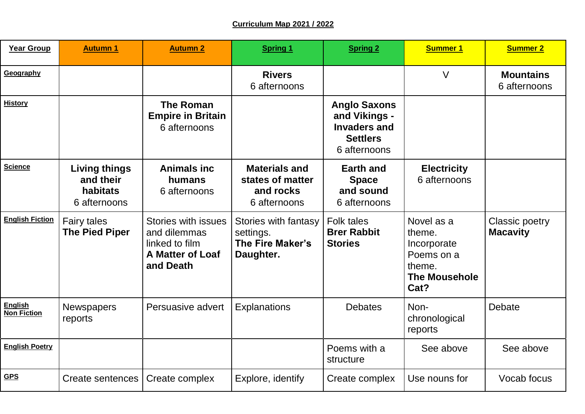## **Curriculum Map 2021 / 2022**

| <b>Year Group</b>                    | <b>Autumn 1</b>                                               | <b>Autumn 2</b>                                                                                      | <b>Spring 1</b>                                                       | <b>Spring 2</b>                                                                                | <b>Summer 1</b>                                                                             | <b>Summer 2</b>                   |
|--------------------------------------|---------------------------------------------------------------|------------------------------------------------------------------------------------------------------|-----------------------------------------------------------------------|------------------------------------------------------------------------------------------------|---------------------------------------------------------------------------------------------|-----------------------------------|
| Geography                            |                                                               |                                                                                                      | <b>Rivers</b><br>6 afternoons                                         |                                                                                                | $\vee$                                                                                      | <b>Mountains</b><br>6 afternoons  |
| <b>History</b>                       |                                                               | <b>The Roman</b><br><b>Empire in Britain</b><br>6 afternoons                                         |                                                                       | <b>Anglo Saxons</b><br>and Vikings -<br><b>Invaders and</b><br><b>Settlers</b><br>6 afternoons |                                                                                             |                                   |
| <b>Science</b>                       | <b>Living things</b><br>and their<br>habitats<br>6 afternoons | <b>Animals inc</b><br>humans<br>6 afternoons                                                         | <b>Materials and</b><br>states of matter<br>and rocks<br>6 afternoons | <b>Earth and</b><br><b>Space</b><br>and sound<br>6 afternoons                                  | <b>Electricity</b><br>6 afternoons                                                          |                                   |
| <b>English Fiction</b>               | <b>Fairy tales</b><br><b>The Pied Piper</b>                   | <b>Stories with issues</b><br>and dilemmas<br>linked to film<br><b>A Matter of Loaf</b><br>and Death | Stories with fantasy<br>settings.<br>The Fire Maker's<br>Daughter.    | Folk tales<br><b>Brer Rabbit</b><br><b>Stories</b>                                             | Novel as a<br>theme.<br>Incorporate<br>Poems on a<br>theme.<br><b>The Mousehole</b><br>Cat? | Classic poetry<br><b>Macavity</b> |
| <b>English</b><br><b>Non Fiction</b> | <b>Newspapers</b><br>reports                                  | Persuasive advert                                                                                    | <b>Explanations</b>                                                   | <b>Debates</b>                                                                                 | Non-<br>chronological<br>reports                                                            | Debate                            |
| <b>English Poetry</b>                |                                                               |                                                                                                      |                                                                       | Poems with a<br>structure                                                                      | See above                                                                                   | See above                         |
| <b>GPS</b>                           | Create sentences                                              | Create complex                                                                                       | Explore, identify                                                     | Create complex                                                                                 | Use nouns for                                                                               | Vocab focus                       |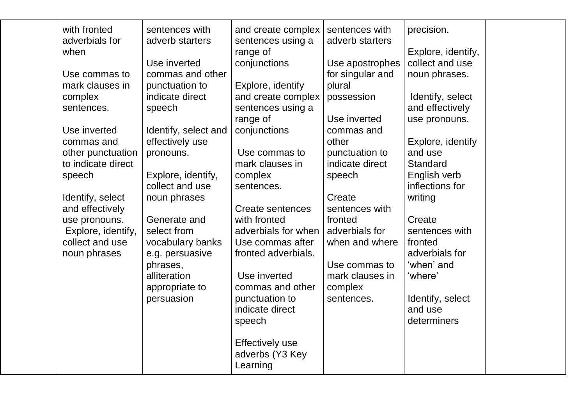| when<br>speech | with fronted<br>adverbials for<br>Use commas to<br>mark clauses in<br>complex<br>sentences.<br>Use inverted<br>commas and<br>other punctuation<br>to indicate direct | sentences with<br>adverb starters<br>Use inverted<br>commas and other<br>punctuation to<br>indicate direct<br>speech<br>Identify, select and<br>effectively use<br>pronouns.<br>Explore, identify, | and create complex<br>sentences using a<br>range of<br>conjunctions<br>Explore, identify<br>and create complex<br>sentences using a<br>range of<br>conjunctions<br>Use commas to<br>mark clauses in<br>complex                                               | sentences with<br>adverb starters<br>Use apostrophes<br>for singular and<br>plural<br>possession<br>Use inverted<br>commas and<br>other<br>punctuation to<br>indicate direct<br>speech | precision.<br>Explore, identify,<br>collect and use<br>noun phrases.<br>Identify, select<br>and effectively<br>use pronouns.<br>Explore, identify<br>and use<br>Standard<br>English verb |  |
|----------------|----------------------------------------------------------------------------------------------------------------------------------------------------------------------|----------------------------------------------------------------------------------------------------------------------------------------------------------------------------------------------------|--------------------------------------------------------------------------------------------------------------------------------------------------------------------------------------------------------------------------------------------------------------|----------------------------------------------------------------------------------------------------------------------------------------------------------------------------------------|------------------------------------------------------------------------------------------------------------------------------------------------------------------------------------------|--|
|                | Identify, select<br>and effectively<br>use pronouns.<br>Explore, identify,<br>collect and use<br>noun phrases                                                        | collect and use<br>noun phrases<br>Generate and<br>select from<br>vocabulary banks<br>e.g. persuasive<br>phrases,<br>alliteration<br>appropriate to<br>persuasion                                  | sentences.<br>Create sentences<br>with fronted<br>adverbials for when<br>Use commas after<br>fronted adverbials.<br>Use inverted<br>commas and other<br>punctuation to<br>indicate direct<br>speech<br><b>Effectively use</b><br>adverbs (Y3 Key<br>Learning | Create<br>sentences with<br>fronted<br>adverbials for<br>when and where<br>Use commas to<br>mark clauses in<br>complex<br>sentences.                                                   | inflections for<br>writing<br>Create<br>sentences with<br>fronted<br>adverbials for<br>'when' and<br>'where'<br>Identify, select<br>and use<br>determiners                               |  |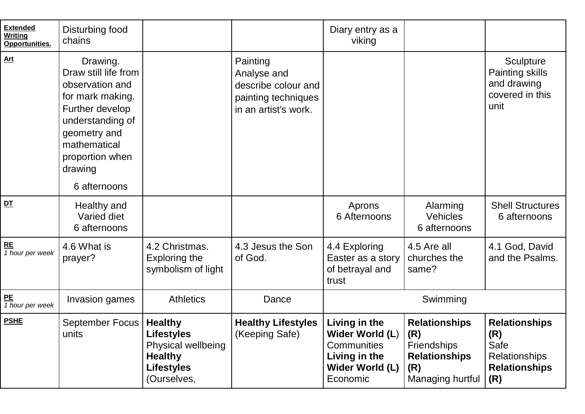| <b>Extended</b><br><b>Writing</b><br>Opportunities. | Disturbing food<br>chains                                                                                                                                                    |                                                                                                                 |                                                                                               | Diary entry as a<br>viking                                                                      |                                                                                                       |                                                                                            |
|-----------------------------------------------------|------------------------------------------------------------------------------------------------------------------------------------------------------------------------------|-----------------------------------------------------------------------------------------------------------------|-----------------------------------------------------------------------------------------------|-------------------------------------------------------------------------------------------------|-------------------------------------------------------------------------------------------------------|--------------------------------------------------------------------------------------------|
| <b>Art</b>                                          | Drawing.<br>Draw still life from<br>observation and<br>for mark making.<br>Further develop<br>understanding of<br>geometry and<br>mathematical<br>proportion when<br>drawing |                                                                                                                 | Painting<br>Analyse and<br>describe colour and<br>painting techniques<br>in an artist's work. |                                                                                                 |                                                                                                       | Sculpture<br>Painting skills<br>and drawing<br>covered in this<br>unit                     |
|                                                     | 6 afternoons                                                                                                                                                                 |                                                                                                                 |                                                                                               |                                                                                                 |                                                                                                       |                                                                                            |
| DT                                                  | Healthy and<br>Varied diet<br>6 afternoons                                                                                                                                   |                                                                                                                 |                                                                                               | Aprons<br>6 Afternoons                                                                          | Alarming<br><b>Vehicles</b><br>6 afternoons                                                           | <b>Shell Structures</b><br>6 afternoons                                                    |
| RE<br>1 hour per week                               | 4.6 What is<br>prayer?                                                                                                                                                       | 4.2 Christmas.<br>Exploring the<br>symbolism of light                                                           | 4.3 Jesus the Son<br>of God.                                                                  | 4.4 Exploring<br>Easter as a story<br>of betrayal and<br>trust                                  | 4.5 Are all<br>churches the<br>same?                                                                  | 4.1 God, David<br>and the Psalms.                                                          |
| P <sub>E</sub><br>1 hour per week                   | Invasion games                                                                                                                                                               | <b>Athletics</b>                                                                                                | Dance                                                                                         | Swimming                                                                                        |                                                                                                       |                                                                                            |
| <b>PSHE</b>                                         | September Focus<br>units                                                                                                                                                     | <b>Healthy</b><br><b>Lifestyles</b><br>Physical wellbeing<br><b>Healthy</b><br><b>Lifestyles</b><br>(Ourselves, | <b>Healthy Lifestyles</b><br>(Keeping Safe)                                                   | Living in the<br>Wider World (L)<br>Communities<br>Living in the<br>Wider World (L)<br>Economic | <b>Relationships</b><br> (R)<br><b>Friendships</b><br><b>Relationships</b><br>(R)<br>Managing hurtful | <b>Relationships</b><br>(R)<br>Safe<br><b>Relationships</b><br><b>Relationships</b><br>(R) |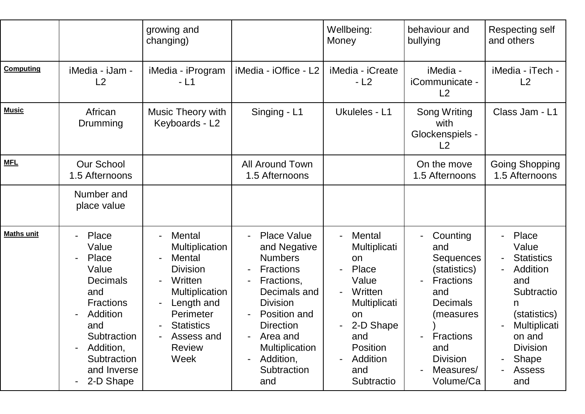|                   |                                                                                                                                                                          | growing and<br>changing)                                                                                                                                                                       |                                                                                                                                                                                                                                                         | Wellbeing:<br>Money                                                                                                                              | behaviour and<br>bullying                                                                                                                                                       | Respecting self<br>and others                                                                                                                                           |
|-------------------|--------------------------------------------------------------------------------------------------------------------------------------------------------------------------|------------------------------------------------------------------------------------------------------------------------------------------------------------------------------------------------|---------------------------------------------------------------------------------------------------------------------------------------------------------------------------------------------------------------------------------------------------------|--------------------------------------------------------------------------------------------------------------------------------------------------|---------------------------------------------------------------------------------------------------------------------------------------------------------------------------------|-------------------------------------------------------------------------------------------------------------------------------------------------------------------------|
| <b>Computing</b>  | iMedia - iJam -<br>L <sub>2</sub>                                                                                                                                        | iMedia - iProgram<br>- L1                                                                                                                                                                      | iMedia - iOffice - L2                                                                                                                                                                                                                                   | iMedia - iCreate<br>$-L2$                                                                                                                        | iMedia -<br>iCommunicate -<br>L2                                                                                                                                                | iMedia - iTech -<br>L <sub>2</sub>                                                                                                                                      |
| <b>Music</b>      | African<br>Drumming                                                                                                                                                      | Music Theory with<br>Keyboards - L2                                                                                                                                                            | Singing - L1                                                                                                                                                                                                                                            | Ukuleles - L1                                                                                                                                    | Song Writing<br>with<br>Glockenspiels -<br>L2                                                                                                                                   | Class Jam - L1                                                                                                                                                          |
| <b>MFL</b>        | <b>Our School</b><br>1.5 Afternoons                                                                                                                                      |                                                                                                                                                                                                | <b>All Around Town</b><br>1.5 Afternoons                                                                                                                                                                                                                |                                                                                                                                                  | On the move<br>1.5 Afternoons                                                                                                                                                   | <b>Going Shopping</b><br>1.5 Afternoons                                                                                                                                 |
|                   | Number and<br>place value                                                                                                                                                |                                                                                                                                                                                                |                                                                                                                                                                                                                                                         |                                                                                                                                                  |                                                                                                                                                                                 |                                                                                                                                                                         |
| <b>Maths unit</b> | Place<br>Value<br>Place<br>Value<br><b>Decimals</b><br>and<br><b>Fractions</b><br>Addition<br>and<br>Subtraction<br>Addition,<br>Subtraction<br>and Inverse<br>2-D Shape | <b>Mental</b><br><b>Multiplication</b><br>Mental<br><b>Division</b><br>Written<br><b>Multiplication</b><br>Length and<br>Perimeter<br><b>Statistics</b><br>Assess and<br><b>Review</b><br>Week | <b>Place Value</b><br>and Negative<br><b>Numbers</b><br><b>Fractions</b><br>$\blacksquare$<br>Fractions,<br>Decimals and<br><b>Division</b><br>Position and<br><b>Direction</b><br>Area and<br><b>Multiplication</b><br>Addition,<br>Subtraction<br>and | Mental<br>Multiplicati<br>on<br>Place<br>Value<br>Written<br>Multiplicati<br>on<br>2-D Shape<br>and<br>Position<br>Addition<br>and<br>Subtractio | Counting<br>and<br>Sequences<br>(statistics)<br><b>Fractions</b><br>and<br><b>Decimals</b><br>(measures<br><b>Fractions</b><br>and<br><b>Division</b><br>Measures/<br>Volume/Ca | Place<br>Value<br><b>Statistics</b><br>Addition<br>and<br>Subtractio<br>n<br>(statistics)<br>Multiplicati<br>on and<br><b>Division</b><br>Shape<br><b>Assess</b><br>and |